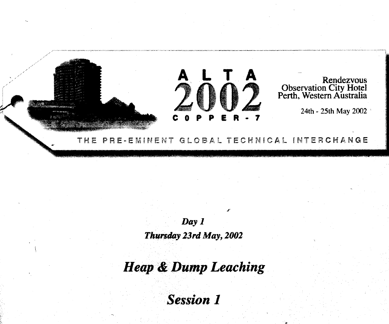

Day 1 *Thursday 23rd May, 2002*

*Heap & Dump Leaching*

*Session 1*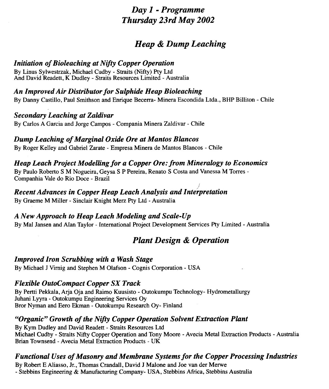## *Day 1 - Programme Thursday 23rd May 2002*

## *Heap & Dump Leaching*

### *Initiation of Bioleaching at Nifty Copper Operation*

By Linus Sylwestrzak, Michael Cudby - Straits (Nifty) Pty Ltd And David Readett, K Dudley - Straits Resources Limited - Australia

### *An Improved Air Distributor for Sulphide Heap Bioleaching*

By Danny Castillo, Paul Smithson and Enrique Becerra- Minera Escondida Ltda., BHP Billiton - Chile

### *Secondary Leaching at Zaldivar*

By Carlos A Garcia and Jorge Campos - Compania Minera Zaldivar - Chile

### *Dump Leaching of Marginal Oxide Ore at Mantos Blancos*

By Roger Kelley and Gabriel Zarate - Empresa Minera de Mantos Blancos - Chile

### *Heap Leach Project Modelling for a Copper Ore: from Mineralogy to Economics*

By Paulo Roberto S M Nogueira, Geysa S P Pereira, Renato S Costa and Vanessa M Torres - Companhia Vale do Rio Doce - Brazil

#### *J Recent Advances in Copper Heap Leach Analysis and Interpretation*

By Graeme M Miller - Sinclair Knight Merz Pty Ltd - Australia

### *A New Approach to Heap Leach Modeling and Scale-Up*

By Mai Jansen and Alan Taylor - International Project Development Services Pty Limited - Australia

## *Plant Design & Operation*

### *Improved Iron Scrubbing with a Wash Stage*

By Michael J Virnig and Stephen M Olafson - Cognis Corporation - USA

### *Flexible OutoCompact Copper SX Track*

By Pertti Pekkala, Arja Oja and Raimo Kuusisto - Outokumpu Technology- Hydrometallurgy Juhani Lyyra - Outokumpu Engineering Services Oy Bror Nyman and Eero Ekman - Outokumpu Research Oy- Finland

### *"Organic" Growth of the Nifty Copper Operation Solvent Extraction Plant*

By Kym Dudley and David Readett - Straits Resources Ltd Michael Cudby - Straits Nifty Copper Operation and Tony Moore - Avecia Metal Extraction Products - Australia Brian Townsend - Avecia Metal Extraction Products - UK

### *Functional Uses of Masonry and Membrane Systems for the Copper Processing Industries*

By Robert E Aliasso, Jr., Thomas Crandall, David J Malone and Joe van der Merwe

- Stebbins Engineering & Manufacturing Company- USA, Stebbins Africa, Stebbins Australia